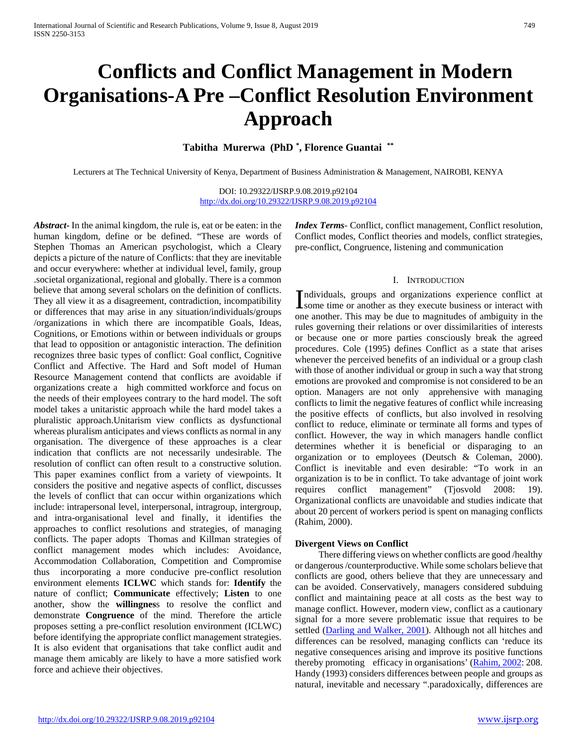# **Conflicts and Conflict Management in Modern Organisations-A Pre –Conflict Resolution Environment Approach**

**Tabitha Murerwa (PhD \* , Florence Guantai \*\***

Lecturers at The Technical University of Kenya, Department of Business Administration & Management, NAIROBI, KENYA

DOI: 10.29322/IJSRP.9.08.2019.p92104 <http://dx.doi.org/10.29322/IJSRP.9.08.2019.p92104>

*Abstract***-** In the animal kingdom, the rule is, eat or be eaten: in the human kingdom, define or be defined. "These are words of Stephen Thomas an American psychologist, which a Cleary depicts a picture of the nature of Conflicts: that they are inevitable and occur everywhere: whether at individual level, family, group .societal organizational, regional and globally. There is a common believe that among several scholars on the definition of conflicts. They all view it as a disagreement, contradiction, incompatibility or differences that may arise in any situation/individuals/groups /organizations in which there are incompatible Goals, Ideas, Cognitions, or Emotions within or between individuals or groups that lead to opposition or antagonistic interaction. The definition recognizes three basic types of conflict: Goal conflict, Cognitive Conflict and Affective. The Hard and Soft model of Human Resource Management contend that conflicts are avoidable if organizations create a high committed workforce and focus on the needs of their employees contrary to the hard model. The soft model takes a unitaristic approach while the hard model takes a pluralistic approach.Unitarism view conflicts as dysfunctional whereas pluralism anticipates and views conflicts as normal in any organisation. The divergence of these approaches is a clear indication that conflicts are not necessarily undesirable. The resolution of conflict can often result to a constructive solution. This paper examines conflict from a variety of viewpoints. It considers the positive and negative aspects of conflict, discusses the levels of conflict that can occur within organizations which include: intrapersonal level, interpersonal, intragroup, intergroup, and intra-organisational level and finally, it identifies the approaches to conflict resolutions and strategies, of managing conflicts. The paper adopts Thomas and Killman strategies of conflict management modes which includes: Avoidance, Accommodation Collaboration, Competition and Compromise thus incorporating a more conducive pre-conflict resolution environment elements **ICLWC** which stands for: **Identify** the nature of conflict; **Communicate** effectively; **Listen** to one another, show the **willingnes**s to resolve the conflict and demonstrate **Congruence** of the mind. Therefore the article proposes setting a pre-conflict resolution environment (ICLWC) before identifying the appropriate conflict management strategies. It is also evident that organisations that take conflict audit and manage them amicably are likely to have a more satisfied work force and achieve their objectives.

*Index Terms*- Conflict, conflict management, Conflict resolution, Conflict modes, Conflict theories and models, conflict strategies, pre-conflict, Congruence, listening and communication

#### I. INTRODUCTION

Individuals, groups and organizations experience conflict at some time or another as they execute business or interact with some time or another as they execute business or interact with one another. This may be due to magnitudes of ambiguity in the rules governing their relations or over dissimilarities of interests or because one or more parties consciously break the agreed procedures. Cole (1995) defines Conflict as a state that arises whenever the perceived benefits of an individual or a group clash with those of another individual or group in such a way that strong emotions are provoked and compromise is not considered to be an option. Managers are not only apprehensive with managing conflicts to limit the negative features of conflict while increasing the positive effects of conflicts, but also involved in resolving conflict to reduce, eliminate or terminate all forms and types of conflict. However, the way in which managers handle conflict determines whether it is beneficial or disparaging to an organization or to employees (Deutsch & Coleman, 2000). Conflict is inevitable and even desirable: "To work in an organization is to be in conflict. To take advantage of joint work requires conflict management" (Tjosvold 2008: 19). Organizational conflicts are unavoidable and studies indicate that about 20 percent of workers period is spent on managing conflicts (Rahim, 2000).

#### **Divergent Views on Conflict**

 There differing views on whether conflicts are good /healthy or dangerous /counterproductive. While some scholars believe that conflicts are good, others believe that they are unnecessary and can be avoided. Conservatively, managers considered subduing conflict and maintaining peace at all costs as the best way to manage conflict. However, modern view, conflict as a cautionary signal for a more severe problematic issue that requires to be settled [\(Darling and Walker, 2001\)](https://content.sciendo.com/view/journals/ijm/35/1/article-p74.xml#j_ijm-2016-0005_ref_013). Although not all hitches and differences can be resolved, managing conflicts can 'reduce its negative consequences arising and improve its positive functions thereby promoting efficacy in organisations' [\(Rahim, 2002:](https://content.sciendo.com/view/journals/ijm/35/1/article-p74.xml#j_ijm-2016-0005_ref_030) 208. Handy (1993) considers differences between people and groups as natural, inevitable and necessary ".paradoxically, differences are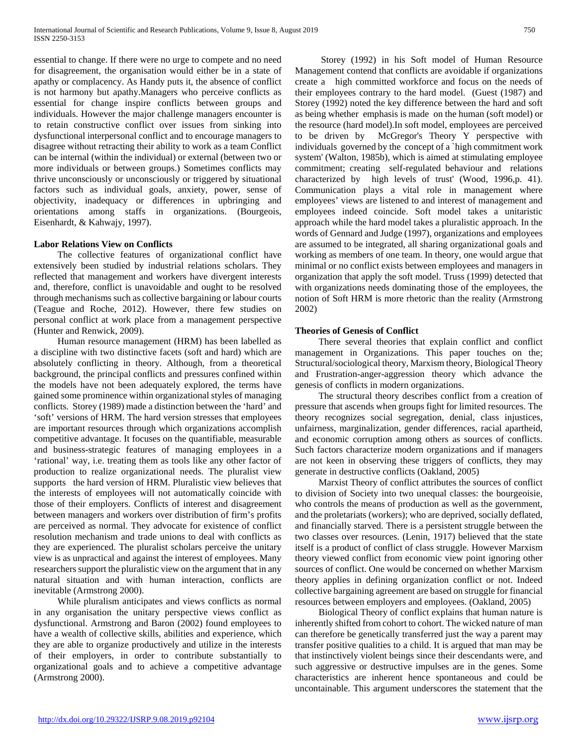essential to change. If there were no urge to compete and no need for disagreement, the organisation would either be in a state of apathy or complacency. As Handy puts it, the absence of conflict is not harmony but apathy.Managers who perceive conflicts as essential for change inspire conflicts between groups and individuals. However the major challenge managers encounter is to retain constructive conflict over issues from sinking into dysfunctional interpersonal conflict and to encourage managers to disagree without retracting their ability to work as a team Conflict can be internal (within the individual) or external (between two or more individuals or between groups.) Sometimes conflicts may thrive unconsciously or unconsciously or triggered by situational factors such as individual goals, anxiety, power, sense of objectivity, inadequacy or differences in upbringing and orientations among staffs in organizations. (Bourgeois, Eisenhardt, & Kahwajy, 1997).

#### **Labor Relations View on Conflicts**

 The collective features of organizational conflict have extensively been studied by industrial relations scholars. They reflected that management and workers have divergent interests and, therefore, conflict is unavoidable and ought to be resolved through mechanisms such as collective bargaining or labour courts (Teague and Roche, 2012). However, there few studies on personal conflict at work place from a management perspective (Hunter and Renwick, 2009).

 Human resource management (HRM) has been labelled as a discipline with two distinctive facets (soft and hard) which are absolutely conflicting in theory. Although, from a theoretical background, the principal conflicts and pressures confined within the models have not been adequately explored, the terms have gained some prominence within organizational styles of managing conflicts. Storey (1989) made a distinction between the 'hard' and 'soft' versions of HRM. The hard version stresses that employees are important resources through which organizations accomplish competitive advantage. It focuses on the quantifiable, measurable and business-strategic features of managing employees in a 'rational' way, i.e. treating them as tools like any other factor of production to realize organizational needs. The pluralist view supports the hard version of HRM. Pluralistic view believes that the interests of employees will not automatically coincide with those of their employers. Conflicts of interest and disagreement between managers and workers over distribution of firm's profits are perceived as normal. They advocate for existence of conflict resolution mechanism and trade unions to deal with conflicts as they are experienced. The pluralist scholars perceive the unitary view is as unpractical and against the interest of employees. Many researchers support the pluralistic view on the argument that in any natural situation and with human interaction, conflicts are inevitable (Armstrong 2000).

 While pluralism anticipates and views conflicts as normal in any organisation the unitary perspective views conflict as dysfunctional. Armstrong and Baron (2002) found employees to have a wealth of collective skills, abilities and experience, which they are able to organize productively and utilize in the interests of their employers, in order to contribute substantially to organizational goals and to achieve a competitive advantage (Armstrong 2000).

 Storey (1992) in his Soft model of Human Resource Management contend that conflicts are avoidable if organizations create a high committed workforce and focus on the needs of their employees contrary to the hard model. (Guest (1987) and Storey (1992) noted the key difference between the hard and soft as being whether emphasis is made on the human (soft model) or the resource (hard model).In soft model, employees are perceived to be driven by McGregor's Theory Y perspective with individuals governed by the concept of a `high commitment work system' (Walton, 1985b), which is aimed at stimulating employee commitment; creating self-regulated behaviour and relations characterized by high levels of trust' (Wood, 1996,p. 41). Communication plays a vital role in management where employees' views are listened to and interest of management and employees indeed coincide. Soft model takes a unitaristic approach while the hard model takes a pluralistic approach. In the words of Gennard and Judge (1997), organizations and employees are assumed to be integrated, all sharing organizational goals and working as members of one team. In theory, one would argue that minimal or no conflict exists between employees and managers in organization that apply the soft model. Truss (1999) detected that with organizations needs dominating those of the employees, the notion of Soft HRM is more rhetoric than the reality (Armstrong 2002)

#### **Theories of Genesis of Conflict**

 There several theories that explain conflict and conflict management in Organizations. This paper touches on the; Structural/sociological theory, Marxism theory, Biological Theory and Frustration-anger-aggression theory which advance the genesis of conflicts in modern organizations.

 The structural theory describes conflict from a creation of pressure that ascends when groups fight for limited resources. The theory recognizes social segregation, denial, class injustices, unfairness, marginalization, gender differences, racial apartheid, and economic corruption among others as sources of conflicts. Such factors characterize modern organizations and if managers are not keen in observing these triggers of conflicts, they may generate in destructive conflicts (Oakland, 2005)

 Marxist Theory of conflict attributes the sources of conflict to division of Society into two unequal classes: the bourgeoisie, who controls the means of production as well as the government, and the proletariats (workers); who are deprived, socially deflated, and financially starved. There is a persistent struggle between the two classes over resources. (Lenin, 1917) believed that the state itself is a product of conflict of class struggle. However Marxism theory viewed conflict from economic view point ignoring other sources of conflict. One would be concerned on whether Marxism theory applies in defining organization conflict or not. Indeed collective bargaining agreement are based on struggle for financial resources between employers and employees. (Oakland, 2005)

 Biological Theory of conflict explains that human nature is inherently shifted from cohort to cohort. The wicked nature of man can therefore be genetically transferred just the way a parent may transfer positive qualities to a child. It is argued that man may be that instinctively violent beings since their descendants were, and such aggressive or destructive impulses are in the genes. Some characteristics are inherent hence spontaneous and could be uncontainable. This argument underscores the statement that the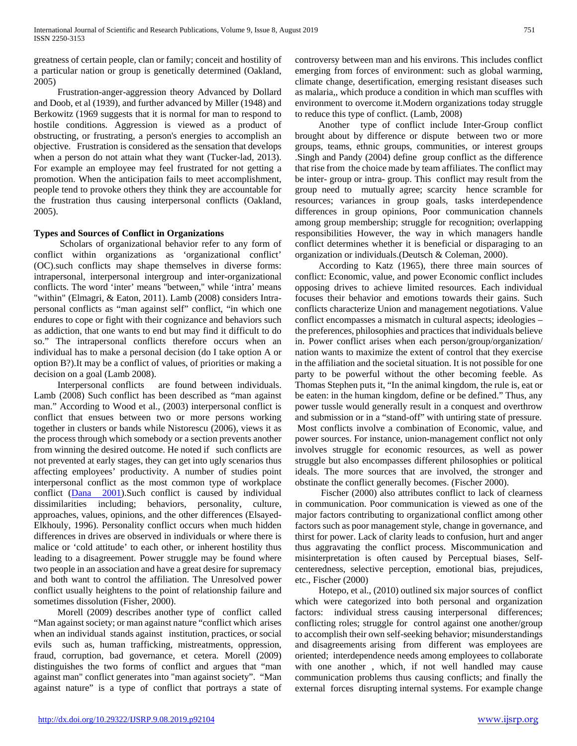greatness of certain people, clan or family; conceit and hostility of a particular nation or group is genetically determined (Oakland, 2005)

 Frustration-anger-aggression theory Advanced by Dollard and Doob, et al (1939), and further advanced by Miller (1948) and Berkowitz (1969 suggests that it is normal for man to respond to hostile conditions. Aggression is viewed as a product of obstructing, or frustrating, a person's energies to accomplish an objective. Frustration is considered as the sensation that develops when a person do not attain what they want (Tucker-lad, 2013). For example an employee may feel frustrated for not getting a promotion. When the anticipation fails to meet accomplishment, people tend to provoke others they think they are accountable for the frustration thus causing interpersonal conflicts (Oakland, 2005).

## **Types and Sources of Conflict in Organizations**

 Scholars of organizational behavior refer to any form of conflict within organizations as 'organizational conflict' (OC).such conflicts may shape themselves in diverse forms: intrapersonal, interpersonal intergroup and inter-organizational conflicts. The word 'inter' means "between," while 'intra' means "within" (Elmagri, & Eaton, 2011). Lamb (2008) considers Intrapersonal conflicts as "man against self" conflict, "in which one endures to cope or fight with their cognizance and behaviors such as addiction, that one wants to end but may find it difficult to do so." The intrapersonal conflicts therefore occurs when an individual has to make a personal decision (do I take option A or option B?).It may be a conflict of values, of priorities or making a decision on a goal (Lamb 2008).

 Interpersonal conflicts are found between individuals. Lamb (2008) Such conflict has been described as "man against man." According to Wood et al., (2003) interpersonal conflict is conflict that ensues between two or more persons working together in clusters or bands while Nistorescu (2006), views it as the process through which somebody or a section prevents another from winning the desired outcome. He noted if such conflicts are not prevented at early stages, they can get into ugly scenarios thus affecting employees' productivity. A number of studies point interpersonal conflict as the most common type of workplace conflict [\(Dana 2001\)](https://content.sciendo.com/view/journals/ijm/35/1/article-p74.xml#j_ijm-2016-0005_ref_012).Such conflict is caused by individual dissimilarities including; behaviors, personality, culture, approaches, values, opinions, and the other differences (Elsayed-Elkhouly, 1996). Personality conflict occurs when much hidden differences in drives are observed in individuals or where there is malice or 'cold attitude' to each other, or inherent hostility thus leading to a disagreement. Power struggle may be found where two people in an association and have a great desire for supremacy and both want to control the affiliation. The Unresolved power conflict usually heightens to the point of relationship failure and sometimes dissolution (Fisher, 2000).

 Morell (2009) describes another type of conflict called "Man against society; or man against nature "conflict which arises when an individual stands against institution, practices, or social evils such as, human trafficking, mistreatments, oppression, fraud, corruption, bad governance, et cetera. Morell (2009) distinguishes the two forms of conflict and argues that "man against man" conflict generates into "man against society". "Man against nature" is a type of conflict that portrays a state of controversy between man and his environs. This includes conflict emerging from forces of environment: such as global warming, climate change, desertification, emerging resistant diseases such as malaria,, which produce a condition in which man scuffles with environment to overcome it.Modern organizations today struggle to reduce this type of conflict. (Lamb, 2008)

 Another type of conflict include Inter-Group conflict brought about by difference or dispute between two or more groups, teams, ethnic groups, communities, or interest groups .Singh and Pandy (2004) define group conflict as the difference that rise from the choice made by team affiliates. The conflict may be inter- group or intra- group. This conflict may result from the group need to mutually agree; scarcity hence scramble for resources; variances in group goals, tasks interdependence differences in group opinions, Poor communication channels among group membership; struggle for recognition; overlapping responsibilities However, the way in which managers handle conflict determines whether it is beneficial or disparaging to an organization or individuals.(Deutsch & Coleman, 2000).

 According to Katz (1965), there three main sources of conflict: Economic, value, and power Economic conflict includes opposing drives to achieve limited resources. Each individual focuses their behavior and emotions towards their gains. Such conflicts characterize Union and management negotiations. Value conflict encompasses a mismatch in cultural aspects; ideologies – the preferences, philosophies and practices that individuals believe in. Power conflict arises when each person/group/organization/ nation wants to maximize the extent of control that they exercise in the affiliation and the societal situation. It is not possible for one party to be powerful without the other becoming feeble. As Thomas Stephen puts it, "In the animal kingdom, the rule is, eat or be eaten: in the human kingdom, define or be defined." Thus, any power tussle would generally result in a conquest and overthrow and submission or in a "stand-off" with untiring state of pressure. Most conflicts involve a combination of Economic, value, and power sources. For instance, union-management conflict not only involves struggle for economic resources, as well as power struggle but also encompasses different philosophies or political ideals. The more sources that are involved, the stronger and obstinate the conflict generally becomes. (Fischer 2000).

 Fischer (2000) also attributes conflict to lack of clearness in communication. Poor communication is viewed as one of the major factors contributing to organizational conflict among other factors such as poor management style, change in governance, and thirst for power. Lack of clarity leads to confusion, hurt and anger thus aggravating the conflict process. Miscommunication and misinterpretation is often caused by Perceptual biases, Selfcenteredness, selective perception, emotional bias, prejudices, etc., Fischer (2000)

 Hotepo, et al., (2010) outlined six major sources of conflict which were categorized into both personal and organization factors: individual stress causing interpersonal differences; conflicting roles; struggle for control against one another/group to accomplish their own self-seeking behavior; misunderstandings and disagreements arising from different was employees are oriented; interdependence needs among employees to collaborate with one another , which, if not well handled may cause communication problems thus causing conflicts; and finally the external forces disrupting internal systems. For example change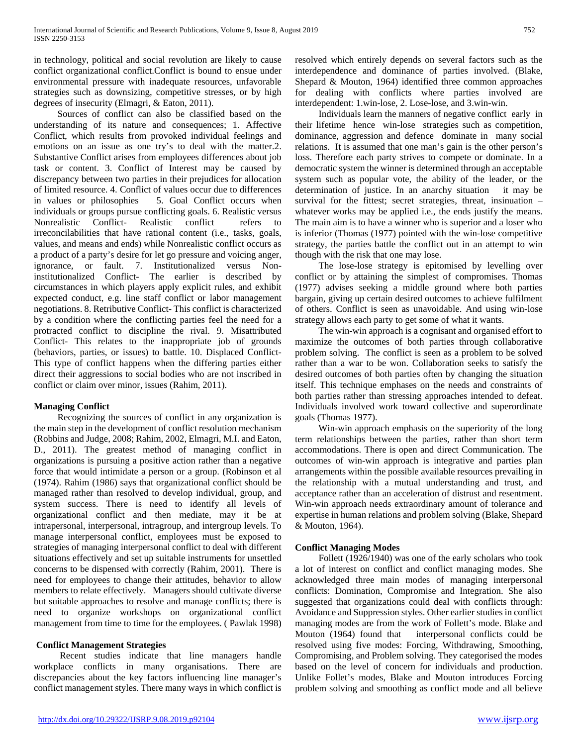in technology, political and social revolution are likely to cause conflict organizational conflict.Conflict is bound to ensue under environmental pressure with inadequate resources, unfavorable strategies such as downsizing, competitive stresses, or by high degrees of insecurity (Elmagri, & Eaton, 2011).

 Sources of conflict can also be classified based on the understanding of its nature and consequences; 1. Affective Conflict, which results from provoked individual feelings and emotions on an issue as one try's to deal with the matter.2. Substantive Conflict arises from employees differences about job task or content. 3. Conflict of Interest may be caused by discrepancy between two parties in their prejudices for allocation of limited resource. 4. Conflict of values occur due to differences in values or philosophies 5. Goal Conflict occurs when individuals or groups pursue conflicting goals. 6. Realistic versus Nonrealistic Conflict- Realistic conflict refers to irreconcilabilities that have rational content (i.e., tasks, goals, values, and means and ends) while Nonrealistic conflict occurs as a product of a party's desire for let go pressure and voicing anger, ignorance, or fault. 7. Institutionalized versus Noninstitutionalized Conflict- The earlier is described by circumstances in which players apply explicit rules, and exhibit expected conduct, e.g. line staff conflict or labor management negotiations. 8. Retributive Conflict- This conflict is characterized by a condition where the conflicting parties feel the need for a protracted conflict to discipline the rival. 9. Misattributed Conflict- This relates to the inappropriate job of grounds (behaviors, parties, or issues) to battle. 10. Displaced Conflict-This type of conflict happens when the differing parties either direct their aggressions to social bodies who are not inscribed in conflict or claim over minor, issues (Rahim, 2011).

## **Managing Conflict**

 Recognizing the sources of conflict in any organization is the main step in the development of conflict resolution mechanism (Robbins and Judge, 2008; Rahim, 2002, Elmagri, M.I. and Eaton, D., 2011). The greatest method of managing conflict in organizations is pursuing a positive action rather than a negative force that would intimidate a person or a group. (Robinson et al (1974). Rahim (1986) says that organizational conflict should be managed rather than resolved to develop individual, group, and system success. There is need to identify all levels of organizational conflict and then mediate, may it be at intrapersonal, interpersonal, intragroup, and intergroup levels. To manage interpersonal conflict, employees must be exposed to strategies of managing interpersonal conflict to deal with different situations effectively and set up suitable instruments for unsettled concerns to be dispensed with correctly (Rahim, 2001). There is need for employees to change their attitudes, behavior to allow members to relate effectively. Managers should cultivate diverse but suitable approaches to resolve and manage conflicts; there is need to organize workshops on organizational conflict management from time to time for the employees. ( Pawlak 1998)

## **Conflict Management Strategies**

 Recent studies indicate that line managers handle workplace conflicts in many organisations. There are discrepancies about the key factors influencing line manager's conflict management styles. There many ways in which conflict is resolved which entirely depends on several factors such as the interdependence and dominance of parties involved. (Blake, Shepard & Mouton, 1964) identified three common approaches for dealing with conflicts where parties involved are interdependent: 1.win-lose, 2. Lose-lose, and 3.win-win.

 Individuals learn the manners of negative conflict early in their lifetime hence win-lose strategies such as competition, dominance, aggression and defence dominate in many social relations. It is assumed that one man's gain is the other person's loss. Therefore each party strives to compete or dominate. In a democratic system the winner is determined through an acceptable system such as popular vote, the ability of the leader, or the determination of justice. In an anarchy situation it may be survival for the fittest; secret strategies, threat, insinuation – whatever works may be applied i.e., the ends justify the means. The main aim is to have a winner who is superior and a loser who is inferior (Thomas (1977) pointed with the win-lose competitive strategy, the parties battle the conflict out in an attempt to win though with the risk that one may lose.

 The lose-lose strategy is epitomised by levelling over conflict or by attaining the simplest of compromises. Thomas (1977) advises seeking a middle ground where both parties bargain, giving up certain desired outcomes to achieve fulfilment of others. Conflict is seen as unavoidable. And using win-lose strategy allows each party to get some of what it wants.

 The win-win approach is a cognisant and organised effort to maximize the outcomes of both parties through collaborative problem solving. The conflict is seen as a problem to be solved rather than a war to be won. Collaboration seeks to satisfy the desired outcomes of both parties often by changing the situation itself. This technique emphases on the needs and constraints of both parties rather than stressing approaches intended to defeat. Individuals involved work toward collective and superordinate goals (Thomas 1977).

 Win-win approach emphasis on the superiority of the long term relationships between the parties, rather than short term accommodations. There is open and direct Communication. The outcomes of win-win approach is integrative and parties plan arrangements within the possible available resources prevailing in the relationship with a mutual understanding and trust, and acceptance rather than an acceleration of distrust and resentment. Win-win approach needs extraordinary amount of tolerance and expertise in human relations and problem solving (Blake, Shepard & Mouton, 1964).

## **Conflict Managing Modes**

 Follett (1926/1940) was one of the early scholars who took a lot of interest on conflict and conflict managing modes. She acknowledged three main modes of managing interpersonal conflicts: Domination, Compromise and Integration. She also suggested that organizations could deal with conflicts through: Avoidance and Suppression styles. Other earlier studies in conflict managing modes are from the work of Follett's mode. Blake and Mouton (1964) found that interpersonal conflicts could be resolved using five modes: Forcing, Withdrawing, Smoothing, Compromising, and Problem solving. They categorised the modes based on the level of concern for individuals and production. Unlike Follet's modes, Blake and Mouton introduces Forcing problem solving and smoothing as conflict mode and all believe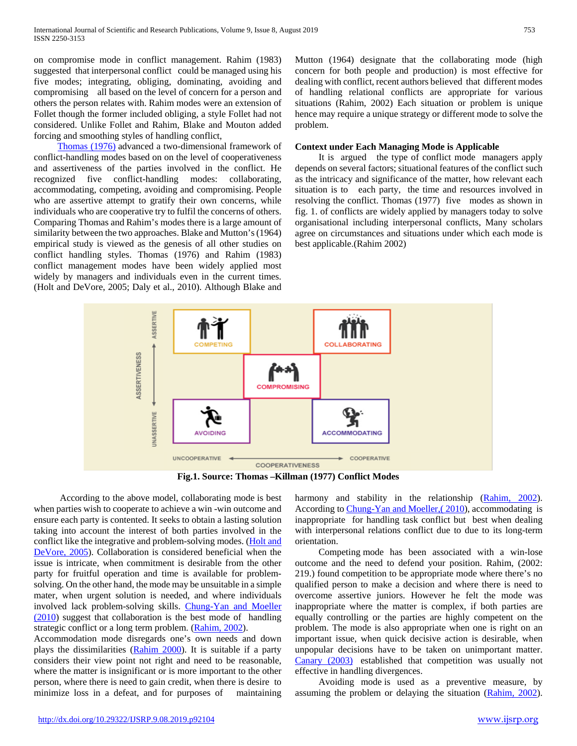on compromise mode in conflict management. Rahim (1983) suggested that interpersonal conflict could be managed using his five modes; integrating, obliging, dominating, avoiding and compromising all based on the level of concern for a person and others the person relates with. Rahim modes were an extension of Follet though the former included obliging, a style Follet had not considered. Unlike Follet and Rahim, Blake and Mouton added forcing and smoothing styles of handling conflict,

 [Thomas \(1976\)](https://content.sciendo.com/view/journals/ijm/35/1/article-p74.xml#j_ijm-2016-0005_ref_035) advanced a two-dimensional framework of conflict-handling modes based on on the level of cooperativeness and assertiveness of the parties involved in the conflict. He recognized five conflict-handling modes: collaborating, accommodating, competing, avoiding and compromising. People who are assertive attempt to gratify their own concerns, while individuals who are cooperative try to fulfil the concerns of others. Comparing Thomas and Rahim's modes there is a large amount of similarity between the two approaches. Blake and Mutton's (1964) empirical study is viewed as the genesis of all other studies on conflict handling styles. Thomas (1976) and Rahim (1983) conflict management modes have been widely applied most widely by managers and individuals even in the current times. (Holt and DeVore, 2005; Daly et al., 2010). Although Blake and Mutton (1964) designate that the collaborating mode (high concern for both people and production) is most effective for dealing with conflict, recent authors believed that different modes of handling relational conflicts are appropriate for various situations (Rahim, 2002) Each situation or problem is unique hence may require a unique strategy or different mode to solve the problem.

#### **Context under Each Managing Mode is Applicable**

 It is argued the type of conflict mode managers apply depends on several factors; situational features of the conflict such as the intricacy and significance of the matter, how relevant each situation is to each party, the time and resources involved in resolving the conflict. Thomas (1977) five modes as shown in fig. 1. of conflicts are widely applied by managers today to solve organisational including interpersonal conflicts, Many scholars agree on circumstances and situations under which each mode is best applicable.(Rahim 2002)



**Fig.1. Source: Thomas –Killman (1977) Conflict Modes**

 According to the above model, collaborating mode is best when parties wish to cooperate to achieve a win -win outcome and ensure each party is contented. It seeks to obtain a lasting solution taking into account the interest of both parties involved in the conflict like the integrative and problem-solving modes. [\(Holt and](https://content.sciendo.com/view/journals/ijm/35/1/article-p74.xml#j_ijm-2016-0005_ref_018)  [DeVore, 2005\)](https://content.sciendo.com/view/journals/ijm/35/1/article-p74.xml#j_ijm-2016-0005_ref_018). Collaboration is considered beneficial when the issue is intricate, when commitment is desirable from the other party for fruitful operation and time is available for problemsolving. On the other hand, the mode may be unsuitable in a simple mater, when urgent solution is needed, and where individuals involved lack problem-solving skills. [Chung-Yan and Moeller](https://content.sciendo.com/view/journals/ijm/35/1/article-p74.xml#j_ijm-2016-0005_ref_009)  [\(2010\)](https://content.sciendo.com/view/journals/ijm/35/1/article-p74.xml#j_ijm-2016-0005_ref_009) suggest that collaboration is the best mode of handling strategic conflict or a long term problem. [\(Rahim, 2002\)](https://content.sciendo.com/view/journals/ijm/35/1/article-p74.xml#j_ijm-2016-0005_ref_030).

Accommodation mode disregards one's own needs and down plays the dissimilarities [\(Rahim 2000\)](https://content.sciendo.com/view/journals/ijm/35/1/article-p74.xml#j_ijm-2016-0005_ref_031). It is suitable if a party considers their view point not right and need to be reasonable, where the matter is insignificant or is more important to the other person, where there is need to gain credit, when there is desire to minimize loss in a defeat, and for purposes of maintaining

harmony and stability in the relationship [\(Rahim, 2002\)](https://content.sciendo.com/view/journals/ijm/35/1/article-p74.xml#j_ijm-2016-0005_ref_030). According t[o Chung-Yan and Moeller,\( 2010\)](https://content.sciendo.com/view/journals/ijm/35/1/article-p74.xml#j_ijm-2016-0005_ref_009), accommodating is inappropriate for handling task conflict but best when dealing with interpersonal relations conflict due to due to its long-term orientation.

 Competing mode has been associated with a win-lose outcome and the need to defend your position. Rahim, (2002: 219.) found competition to be appropriate mode where there's no qualified person to make a decision and where there is need to overcome assertive juniors. However he felt the mode was inappropriate where the matter is complex, if both parties are equally controlling or the parties are highly competent on the problem. The mode is also appropriate when one is right on an important issue, when quick decisive action is desirable, when unpopular decisions have to be taken on unimportant matter. [Canary \(2003\)](https://content.sciendo.com/view/journals/ijm/35/1/article-p74.xml#j_ijm-2016-0005_ref_007) established that competition was usually not effective in handling divergences.

 Avoiding mode is used as a preventive measure, by assuming the problem or delaying the situation [\(Rahim, 2002\)](https://content.sciendo.com/view/journals/ijm/35/1/article-p74.xml#j_ijm-2016-0005_ref_030).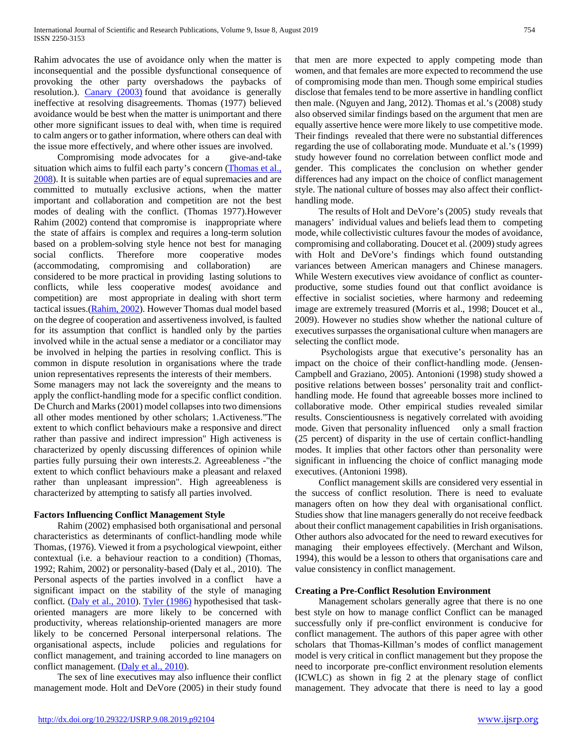Rahim advocates the use of avoidance only when the matter is inconsequential and the possible dysfunctional consequence of provoking the other party overshadows the paybacks of resolution.). [Canary \(2003\)](https://content.sciendo.com/view/journals/ijm/35/1/article-p74.xml#j_ijm-2016-0005_ref_007) found that avoidance is generally ineffective at resolving disagreements. Thomas (1977) believed avoidance would be best when the matter is unimportant and there other more significant issues to deal with, when time is required to calm angers or to gather information, where others can deal with the issue more effectively, and where other issues are involved.

 Compromising mode advocates for a give-and-take situation which aims to fulfil each party's concern (Thomas et al., [2008\)](https://content.sciendo.com/view/journals/ijm/35/1/article-p74.xml#j_ijm-2016-0005_ref_038). It is suitable when parties are of equal supremacies and are committed to mutually exclusive actions, when the matter important and collaboration and competition are not the best modes of dealing with the conflict. (Thomas 1977).However Rahim (2002) contend that compromise is inappropriate where the state of affairs is complex and requires a long-term solution based on a problem-solving style hence not best for managing social conflicts. Therefore more cooperative modes (accommodating, compromising and collaboration) are considered to be more practical in providing lasting solutions to conflicts, while less cooperative modes( avoidance and competition) are most appropriate in dealing with short term tactical issues.(**Rahim, 2002**). However Thomas dual model based on the degree of cooperation and assertiveness involved, is faulted for its assumption that conflict is handled only by the parties involved while in the actual sense a mediator or a conciliator may be involved in helping the parties in resolving conflict. This is common in dispute resolution in organisations where the trade union representatives represents the interests of their members.

Some managers may not lack the sovereignty and the means to apply the conflict-handling mode for a specific conflict condition. De Church and Marks (2001) model collapses into two dimensions all other modes mentioned by other scholars; 1.Activeness."The extent to which conflict behaviours make a responsive and direct rather than passive and indirect impression" High activeness is characterized by openly discussing differences of opinion while parties fully pursuing their own interests.2. Agreeableness -"the extent to which conflict behaviours make a pleasant and relaxed rather than unpleasant impression". High agreeableness is characterized by attempting to satisfy all parties involved.

## **Factors Influencing Conflict Management Style**

 Rahim (2002) emphasised both organisational and personal characteristics as determinants of conflict-handling mode while Thomas, (1976). Viewed it from a psychological viewpoint, either contextual (i.e. a behaviour reaction to a condition) (Thomas, 1992; Rahim, 2002) or personality-based (Daly et al., 2010). The Personal aspects of the parties involved in a conflict have a significant impact on the stability of the style of managing conflict. [\(Daly et al., 2010\)](https://content.sciendo.com/view/journals/ijm/35/1/article-p74.xml#j_ijm-2016-0005_ref_011). [Tyler \(1986\)](https://content.sciendo.com/view/journals/ijm/35/1/article-p74.xml#j_ijm-2016-0005_ref_039) hypothesised that taskoriented managers are more likely to be concerned with productivity, whereas relationship-oriented managers are more likely to be concerned Personal interpersonal relations. The organisational aspects, include policies and regulations for conflict management, and training accorded to line managers on conflict management. [\(Daly et al., 2010\)](https://content.sciendo.com/view/journals/ijm/35/1/article-p74.xml#j_ijm-2016-0005_ref_011).

 The sex of line executives may also influence their conflict management mode. Holt and DeVore (2005) in their study found that men are more expected to apply competing mode than women, and that females are more expected to recommend the use of compromising mode than men. Though some empirical studies disclose that females tend to be more assertive in handling conflict then male. (Nguyen and Jang, 2012). Thomas et al.'s (2008) study also observed similar findings based on the argument that men are equally assertive hence were more likely to use competitive mode. Their findings revealed that there were no substantial differences regarding the use of collaborating mode. Munduate et al.'s (1999) study however found no correlation between conflict mode and gender. This complicates the conclusion on whether gender differences had any impact on the choice of conflict management style. The national culture of bosses may also affect their conflicthandling mode.

 The results of Holt and DeVore's (2005) study reveals that managers' individual values and beliefs lead them to competing mode, while collectivistic cultures favour the modes of avoidance, compromising and collaborating. Doucet et al. (2009) study agrees with Holt and DeVore's findings which found outstanding variances between American managers and Chinese managers. While Western executives view avoidance of conflict as counterproductive, some studies found out that conflict avoidance is effective in socialist societies, where harmony and redeeming image are extremely treasured (Morris et al., 1998; Doucet et al., 2009). However no studies show whether the national culture of executives surpasses the organisational culture when managers are selecting the conflict mode.

 Psychologists argue that executive's personality has an impact on the choice of their conflict-handling mode. (Jensen-Campbell and Graziano, 2005). Antonioni (1998) study showed a positive relations between bosses' personality trait and conflicthandling mode. He found that agreeable bosses more inclined to collaborative mode. Other empirical studies revealed similar results. Conscientiousness is negatively correlated with avoiding mode. Given that personality influenced only a small fraction (25 percent) of disparity in the use of certain conflict-handling modes. It implies that other factors other than personality were significant in influencing the choice of conflict managing mode executives. (Antonioni 1998).

 Conflict management skills are considered very essential in the success of conflict resolution. There is need to evaluate managers often on how they deal with organisational conflict. Studies show that line managers generally do not receive feedback about their conflict management capabilities in Irish organisations. Other authors also advocated for the need to reward executives for managing their employees effectively. (Merchant and Wilson, 1994), this would be a lesson to others that organisations care and value consistency in conflict management.

## **Creating a Pre-Conflict Resolution Environment**

 Management scholars generally agree that there is no one best style on how to manage conflict Conflict can be managed successfully only if pre-conflict environment is conducive for conflict management. The authors of this paper agree with other scholars that Thomas-Killman's modes of conflict management model is very critical in conflict management but they propose the need to incorporate pre-conflict environment resolution elements (ICWLC) as shown in fig 2 at the plenary stage of conflict management. They advocate that there is need to lay a good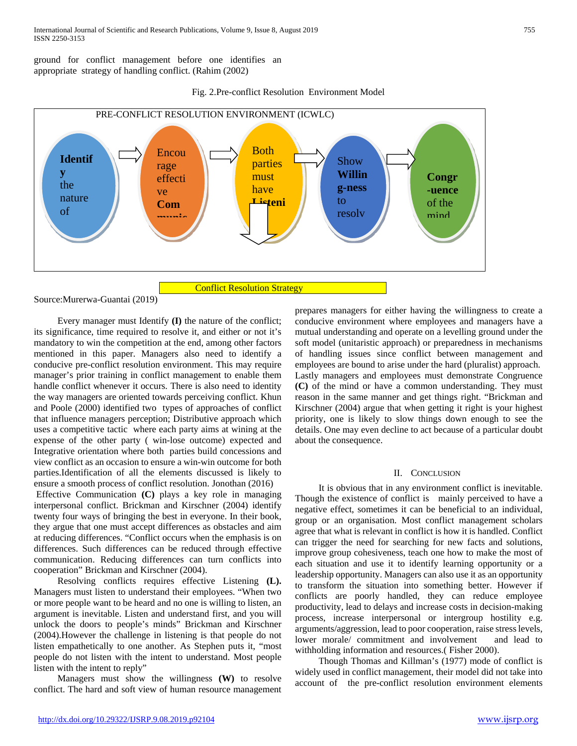ground for conflict management before one identifies an appropriate strategy of handling conflict. (Rahim (2002)

Fig. 2.Pre-conflict Resolution Environment Model



Source:Murerwa-Guantai (2019)

 Every manager must Identify **(I)** the nature of the conflict; its significance, time required to resolve it, and either or not it's mandatory to win the competition at the end, among other factors mentioned in this paper. Managers also need to identify a conducive pre-conflict resolution environment. This may require manager's prior training in conflict management to enable them handle conflict whenever it occurs. There is also need to identity the way managers are oriented towards perceiving conflict. Khun and Poole (2000) identified two types of approaches of conflict that influence managers perception; Distributive approach which uses a competitive tactic where each party aims at wining at the expense of the other party ( win-lose outcome) expected and Integrative orientation where both parties build concessions and view conflict as an occasion to ensure a win-win outcome for both parties.Identification of all the elements discussed is likely to ensure a smooth process of conflict resolution. Jonothan (2016)

Effective Communication **(C)** plays a key role in managing interpersonal conflict. Brickman and Kirschner (2004) identify twenty four ways of bringing the best in everyone. In their book, they argue that one must accept differences as obstacles and aim at reducing differences. "Conflict occurs when the emphasis is on differences. Such differences can be reduced through effective communication. Reducing differences can turn conflicts into cooperation" Brickman and Kirschner (2004).

 Resolving conflicts requires effective Listening **(L).** Managers must listen to understand their employees. "When two or more people want to be heard and no one is willing to listen, an argument is inevitable. Listen and understand first, and you will unlock the doors to people's minds" Brickman and Kirschner (2004).However the challenge in listening is that people do not listen empathetically to one another. As Stephen puts it, "most people do not listen with the intent to understand. Most people listen with the intent to reply"

 Managers must show the willingness **(W)** to resolve conflict. The hard and soft view of human resource management prepares managers for either having the willingness to create a conducive environment where employees and managers have a mutual understanding and operate on a levelling ground under the soft model (unitaristic approach) or preparedness in mechanisms of handling issues since conflict between management and employees are bound to arise under the hard (pluralist) approach. Lastly managers and employees must demonstrate Congruence **(C)** of the mind or have a common understanding. They must reason in the same manner and get things right. "Brickman and Kirschner (2004) argue that when getting it right is your highest priority, one is likely to slow things down enough to see the details. One may even decline to act because of a particular doubt about the consequence.

#### II. CONCLUSION

 It is obvious that in any environment conflict is inevitable. Though the existence of conflict is mainly perceived to have a negative effect, sometimes it can be beneficial to an individual, group or an organisation. Most conflict management scholars agree that what is relevant in conflict is how it is handled. Conflict can trigger the need for searching for new facts and solutions, improve group cohesiveness, teach one how to make the most of each situation and use it to identify learning opportunity or a leadership opportunity. Managers can also use it as an opportunity to transform the situation into something better. However if conflicts are poorly handled, they can reduce employee productivity, lead to delays and increase costs in decision-making process, increase interpersonal or intergroup hostility e.g. arguments/aggression, lead to poor cooperation, raise stress levels, lower morale/ commitment and involvement and lead to withholding information and resources.( Fisher 2000).

 Though Thomas and Killman's (1977) mode of conflict is widely used in conflict management, their model did not take into account of the pre-conflict resolution environment elements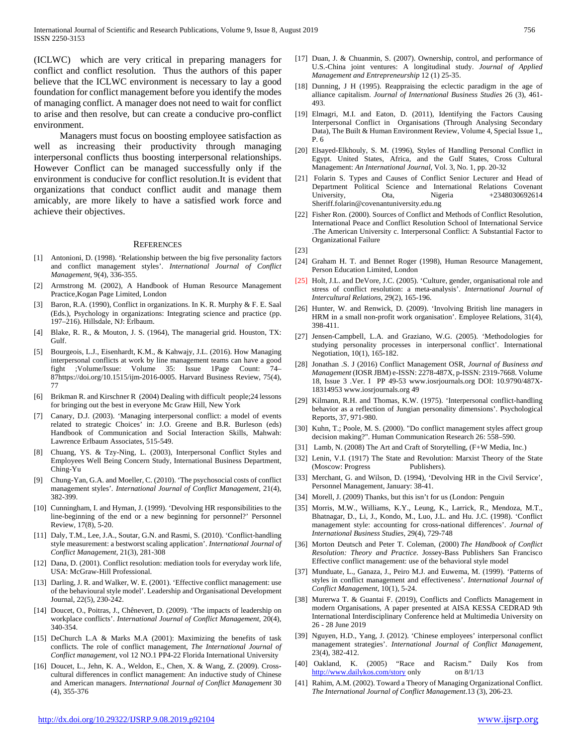(ICLWC) which are very critical in preparing managers for conflict and conflict resolution. Thus the authors of this paper believe that the ICLWC environment is necessary to lay a good foundation for conflict management before you identify the modes of managing conflict. A manager does not need to wait for conflict to arise and then resolve, but can create a conducive pro-conflict environment.

 Managers must focus on boosting employee satisfaction as well as increasing their productivity through managing interpersonal conflicts thus boosting interpersonal relationships. However Conflict can be managed successfully only if the environment is conducive for conflict resolution.It is evident that organizations that conduct conflict audit and manage them amicably, are more likely to have a satisfied work force and achieve their objectives.

#### **REFERENCES**

- [1] Antonioni, D. (1998). 'Relationship between the big five personality factors and conflict management styles'. *International Journal of Conflict Management*, 9(4), 336-355.
- [2] Armstrong M. (2002), A Handbook of Human Resource Management Practice,Kogan Page Limited, London
- [3] Baron, R.A. (1990), Conflict in organizations. In K. R. Murphy & F. E. Saal (Eds.), Psychology in organizations: Integrating science and practice (pp. 197–216). Hillsdale, NJ: Erlbaum.
- [4] Blake, R. R., & Mouton, J. S. (1964), The managerial grid. Houston, TX: Gulf.
- [5] Bourgeois, L.J., Eisenhardt, K.M., & Kahwajy, J.L. (2016). How Managing interpersonal conflicts at work by line management teams can have a good fight ;Volume/Issue: Volume 35: Issue 1Page Count: 74– 87https://doi.org/10.1515/ijm-2016-0005. Harvard Business Review, 75(4), 77
- [6] Brikman R. and Kirschner R (2004) Dealing with difficult people;24 lessons for bringing out the best in everyone Mc Graw Hill, New York
- [7] Canary, D.J. (2003). 'Managing interpersonal conflict: a model of events related to strategic Choices' in: J.O. Greene and B.R. Burleson (eds) Handbook of Communication and Social Interaction Skills, Mahwah: Lawrence Erlbaum Associates, 515-549.
- [8] Chuang, YS. & Tzy-Ning, L. (2003), Interpersonal Conflict Styles and Employees Well Being Concern Study, International Business Department, Ching-Yu
- [9] Chung-Yan, G.A. and Moeller, C. (2010). 'The psychosocial costs of conflict management styles'*. International Journal of Conflict Management*, 21(4), 382-399.
- [10] Cunningham, I. and Hyman, J. (1999). 'Devolving HR responsibilities to the line-beginning of the end or a new beginning for personnel?' Personnel Review, 17(8), 5-20.
- [11] Daly, T.M., Lee, J.A., Soutar, G.N. and Rasmi, S. (2010). 'Conflict-handling style measurement: a bestworst scaling application'. *International Journal of Conflict Management*, 21(3), 281-308
- [12] Dana, D. (2001). Conflict resolution: mediation tools for everyday work life, USA: McGraw-Hill Professional.
- [13] Darling, J. R. and Walker, W. E. (2001). 'Effective conflict management: use of the behavioural style model'. Leadership and Organisational Development Journal, 22(5), 230-242.
- [14] Doucet, O., Poitras, J., Chênevert, D. (2009). 'The impacts of leadership on workplace conflicts'. *International Journal of Conflict Management,* 20(4), 340-354.
- [15] DeChurch L.A & Marks M.A (2001): Maximizing the benefits of task conflicts. The role of conflict management, *The International Journal of Conflict management*, vol 12 NO.1 PP4-22 Florida International University
- [16] Doucet, L., Jehn, K. A., Weldon, E., Chen, X. & Wang, Z. (2009). Crosscultural differences in conflict management: An inductive study of Chinese and American managers. *International Journal of Conflict Management* 30 (4), 355-376
- [17] Duan, J. & Chuanmin, S. (2007). Ownership, control, and performance of U.S.-China joint ventures: A longitudinal study. *Journal of Applied Management and Entrepreneurship* 12 (1) 25-35.
- [18] Dunning, J H (1995). Reappraising the eclectic paradigm in the age of alliance capitalism. *Journal of International Business Studies* 26 (3), 461- 493.
- [19] Elmagri, M.I. and Eaton, D. (2011), Identifying the Factors Causing Interpersonal Conflict in Organisations (Through Analysing Secondary Data), The Built & Human Environment Review, Volume 4, Special Issue 1,, P. 6
- [20] Elsayed-Elkhouly, S. M. (1996), Styles of Handling Personal Conflict in Egypt. United States, Africa, and the Gulf States, Cross Cultural Management: *An International Journal*, Vol. 3, No. 1, pp. 20-32
- [21] Folarin S. Types and Causes of Conflict Senior Lecturer and Head of Department Political Science and International Relations Covenant University, Ota, Nigeria +2348030692614 Sheriff.folarin@covenantuniversity.edu.ng
- [22] Fisher Ron. (2000). Sources of Conflict and Methods of Conflict Resolution, International Peace and Conflict Resolution School of International Service .The American University c. Interpersonal Conflict: A Substantial Factor to Organizational Failure

[23]

- [24] Graham H. T. and Bennet Roger (1998), Human Resource Management, Person Education Limited, London
- [25] Holt, J.L. and DeVore, J.C. (2005). 'Culture, gender, organisational role and stress of conflict resolution: a meta-analysis'. *International Journal of Intercultural Relations*, 29(2), 165-196.
- [26] Hunter, W. and Renwick, D. (2009). 'Involving British line managers in HRM in a small non-profit work organisation'. Employee Relations, 31(4), 398-411.
- [27] Jensen-Campbell, L.A. and Graziano, W.G. (2005). 'Methodologies for studying personality processes in interpersonal conflict'. International Negotiation, 10(1), 165-182.
- [28] Jonathan .S. J (2016) Conflict Management OSR, *Journal of Business and Management* (IOSR JBM) e-ISSN: 2278-487X, p-ISSN: 2319-7668. Volume 18, Issue 3 .Ver. I PP 49-53 www.iosrjournals.org DOI: 10.9790/487X-18314953 www.iosrjournals.org 49
- [29] Kilmann, R.H. and Thomas, K.W. (1975). 'Interpersonal conflict-handling behavior as a reflection of Jungian personality dimensions'. Psychological Reports, 37, 971-980.
- [30] Kuhn, T.; Poole, M. S. (2000). "Do conflict management styles affect group decision making?". Human Communication Research 26: 558–590.
- [31] Lamb, N. (2008) The Art and Craft of Storytelling, (F+W Media, Inc.)
- [32] Lenin, V.I. (1917) The State and Revolution: Marxist Theory of the State (Moscow: Progress Publishers).
- [33] Merchant, G. and Wilson, D. (1994), 'Devolving HR in the Civil Service', Personnel Management, January: 38-41.
- [34] Morell, J. (2009) Thanks, but this isn't for us (London: Penguin
- [35] Morris, M.W., Williams, K.Y., Leung, K., Larrick, R., Mendoza, M.T., Bhatnagar, D., Li, J., Kondo, M., Luo, J.L. and Hu. J.C. (1998). 'Conflict management style: accounting for cross-national differences'. *Journal of International Business Studies*, 29(4), 729-748
- [36] Morton Deutsch and Peter T. Coleman, (2000) *The Handbook of Conflict Resolution: Theory and Practice*. Jossey-Bass Publishers San Francisco Effective conflict management: use of the behavioral style model
- [37] Munduate, L., Ganaza, J., Peiro M.J. and Euwema, M. (1999). 'Patterns of styles in conflict management and effectiveness'. *International Journal of Conflict Management*, 10(1), 5-24.
- [38] Murerwa T. & Guantai F. (2019), Conflicts and Conflicts Management in modern Organisations, A paper presented at AISA KESSA CEDRAD 9th International Interdisciplinary Conference held at Multimedia University on 26 - 28 June 2019
- [39] Nguyen, H.D., Yang, J. (2012). 'Chinese employees' interpersonal conflict management strategies'. *International Journal of Conflict Management*, 23(4), 382-412.
- [40] Oakland, K. (2005) "Race and Racism." Daily Kos from <http://www.dailykos.com/story> only on 8/1/13
- [41] Rahim, A.M. (2002). Toward a Theory of Managing Organizational Conflict. *The International Journal of Conflict Management*.13 (3), 206-23.